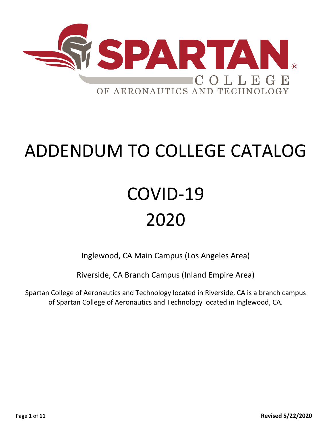

# ADDENDUM TO COLLEGE CATALOG

# COVID-19 2020

Inglewood, CA Main Campus (Los Angeles Area)

Riverside, CA Branch Campus (Inland Empire Area)

Spartan College of Aeronautics and Technology located in Riverside, CA is a branch campus of Spartan College of Aeronautics and Technology located in Inglewood, CA.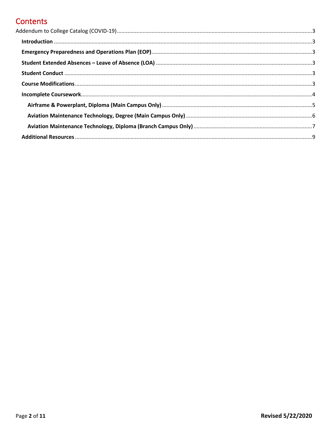# **Contents**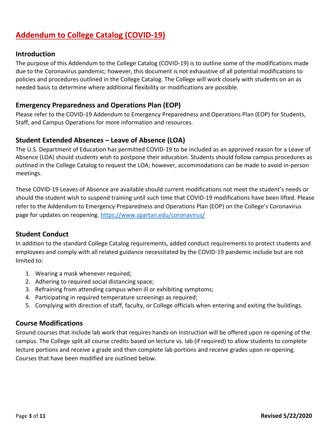# <span id="page-2-0"></span>**Addendum to College Catalog (COVID-19)**

#### <span id="page-2-1"></span>**Introduction**

The purpose of this Addendum to the College Catalog (COVID-19) is to outline some of the modifications made due to the Coronavirus pandemic; however, this document is not exhaustive of all potential modifications to policies and procedures outlined in the College Catalog. The College will work closely with students on an as needed basis to determine where additional flexibility or modifications are possible.

## <span id="page-2-2"></span>**Emergency Preparedness and Operations Plan (EOP)**

Please refer to the COVID-19 Addendum to Emergency Preparedness and Operations Plan (EOP) for Students, Staff, and Campus Operations for more information and resources.

#### <span id="page-2-3"></span>**Student Extended Absences – Leave of Absence (LOA)**

The U.S. Department of Education has permitted COVID-19 to be included as an approved reason for a Leave of Absence (LOA) should students wish to postpone their education. Students should follow campus procedures as outlined in the College Catalog to request the LOA; however, accommodations can be made to avoid in-person meetings.

These COVID-19 Leaves of Absence are available should current modifications not meet the student's needs or should the student wish to suspend training until such time that COVID-19 modifications have been lifted. Please refer to the Addendum to Emergency Preparedness and Operations Plan (EOP) on the College's Coronavirus page for updates on reopening.<https://www.spartan.edu/coronavirus/>

## <span id="page-2-4"></span>**Student Conduct**

In addition to the standard College Catalog requirements, added conduct requirements to protect students and employees and comply with all related guidance necessitated by the COVID-19 pandemic include but are not limited to:

- 1. Wearing a mask whenever required;
- 2. Adhering to required social distancing space;
- 3. Refraining from attending campus when ill or exhibiting symptoms;
- 4. Participating in required temperature screenings as required;
- 5. Complying with direction of staff, faculty, or College officials when entering and exiting the buildings.

#### <span id="page-2-5"></span>**Course Modifications**

Ground courses that include lab work that requires hands-on instruction will be offered upon re-opening of the campus. The College split all course credits based on lecture vs. lab (if required) to allow students to complete lecture portions and receive a grade and then complete lab portions and receive grades upon re-opening. Courses that have been modified are outlined below.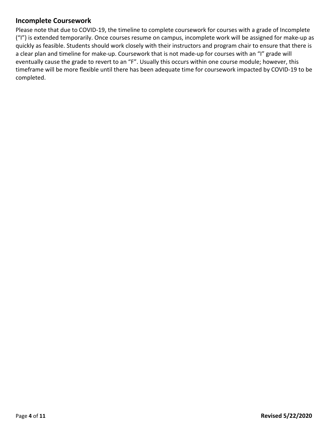# <span id="page-3-0"></span>**Incomplete Coursework**

Please note that due to COVID-19, the timeline to complete coursework for courses with a grade of Incomplete ("I") is extended temporarily. Once courses resume on campus, incomplete work will be assigned for make-up as quickly as feasible. Students should work closely with their instructors and program chair to ensure that there is a clear plan and timeline for make-up. Coursework that is not made-up for courses with an "I" grade will eventually cause the grade to revert to an "F". Usually this occurs within one course module; however, this timeframe will be more flexible until there has been adequate time for coursework impacted by COVID-19 to be completed.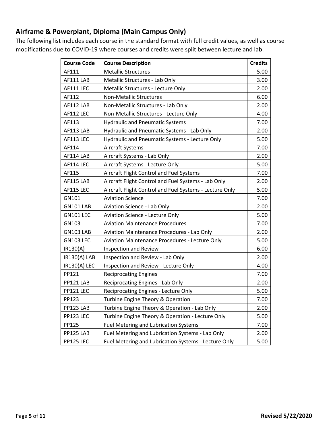# <span id="page-4-0"></span>**Airframe & Powerplant, Diploma (Main Campus Only)**

The following list includes each course in the standard format with full credit values, as well as course modifications due to COVID-19 where courses and credits were split between lecture and lab.

| <b>Course Code</b> | <b>Course Description</b>                               | <b>Credits</b> |
|--------------------|---------------------------------------------------------|----------------|
| AF111              | <b>Metallic Structures</b>                              | 5.00           |
| AF111 LAB          | Metallic Structures - Lab Only                          | 3.00           |
| AF111 LEC          | Metallic Structures - Lecture Only                      | 2.00           |
| AF112              | <b>Non-Metallic Structures</b>                          | 6.00           |
| AF112 LAB          | Non-Metallic Structures - Lab Only                      | 2.00           |
| AF112 LEC          | Non-Metallic Structures - Lecture Only                  | 4.00           |
| AF113              | <b>Hydraulic and Pneumatic Systems</b>                  | 7.00           |
| AF113 LAB          | Hydraulic and Pneumatic Systems - Lab Only              | 2.00           |
| AF113 LEC          | Hydraulic and Pneumatic Systems - Lecture Only          | 5.00           |
| AF114              | Aircraft Systems                                        | 7.00           |
| AF114 LAB          | Aircraft Systems - Lab Only                             | 2.00           |
| AF114 LEC          | Aircraft Systems - Lecture Only                         | 5.00           |
| AF115              | Aircraft Flight Control and Fuel Systems                | 7.00           |
| AF115 LAB          | Aircraft Flight Control and Fuel Systems - Lab Only     | 2.00           |
| <b>AF115 LEC</b>   | Aircraft Flight Control and Fuel Systems - Lecture Only | 5.00           |
| GN101              | <b>Aviation Science</b>                                 | 7.00           |
| GN101 LAB          | Aviation Science - Lab Only                             | 2.00           |
| <b>GN101 LEC</b>   | <b>Aviation Science - Lecture Only</b>                  | 5.00           |
| GN103              | <b>Aviation Maintenance Procedures</b>                  | 7.00           |
| <b>GN103 LAB</b>   | Aviation Maintenance Procedures - Lab Only              | 2.00           |
| <b>GN103 LEC</b>   | Aviation Maintenance Procedures - Lecture Only          | 5.00           |
| IR130(A)           | Inspection and Review                                   | 6.00           |
| IR130(A) LAB       | Inspection and Review - Lab Only                        | 2.00           |
| IR130(A) LEC       | Inspection and Review - Lecture Only                    | 4.00           |
| PP121              | <b>Reciprocating Engines</b>                            | 7.00           |
| PP121 LAB          | Reciprocating Engines - Lab Only                        | 2.00           |
| PP121 LEC          | Reciprocating Engines - Lecture Only                    | 5.00           |
| PP123              | Turbine Engine Theory & Operation                       | 7.00           |
| PP123 LAB          | Turbine Engine Theory & Operation - Lab Only            | 2.00           |
| PP123 LEC          | Turbine Engine Theory & Operation - Lecture Only        | 5.00           |
| PP125              | <b>Fuel Metering and Lubrication Systems</b>            | 7.00           |
| PP125 LAB          | Fuel Metering and Lubrication Systems - Lab Only        | 2.00           |
| PP125 LEC          | Fuel Metering and Lubrication Systems - Lecture Only    | 5.00           |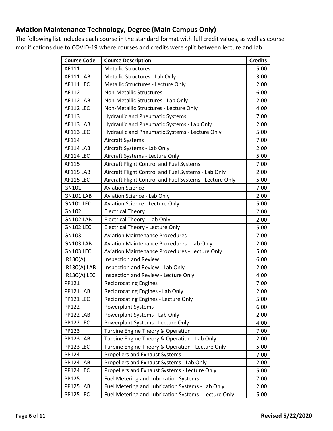# <span id="page-5-0"></span>**Aviation Maintenance Technology, Degree (Main Campus Only)**

The following list includes each course in the standard format with full credit values, as well as course modifications due to COVID-19 where courses and credits were split between lecture and lab.

| <b>Course Code</b> | <b>Course Description</b>                               | <b>Credits</b> |
|--------------------|---------------------------------------------------------|----------------|
| AF111              | <b>Metallic Structures</b>                              | 5.00           |
| AF111 LAB          | Metallic Structures - Lab Only                          | 3.00           |
| AF111 LEC          | Metallic Structures - Lecture Only                      | 2.00           |
| AF112              | <b>Non-Metallic Structures</b>                          | 6.00           |
| AF112 LAB          | Non-Metallic Structures - Lab Only                      | 2.00           |
| AF112 LEC          | Non-Metallic Structures - Lecture Only                  | 4.00           |
| AF113              | <b>Hydraulic and Pneumatic Systems</b>                  | 7.00           |
| AF113 LAB          | Hydraulic and Pneumatic Systems - Lab Only              | 2.00           |
| AF113 LEC          | Hydraulic and Pneumatic Systems - Lecture Only          | 5.00           |
| AF114              | Aircraft Systems                                        | 7.00           |
| AF114 LAB          | Aircraft Systems - Lab Only                             | 2.00           |
| AF114 LEC          | Aircraft Systems - Lecture Only                         | 5.00           |
| AF115              | Aircraft Flight Control and Fuel Systems                | 7.00           |
| AF115 LAB          | Aircraft Flight Control and Fuel Systems - Lab Only     | 2.00           |
| AF115 LEC          | Aircraft Flight Control and Fuel Systems - Lecture Only | 5.00           |
| GN101              | <b>Aviation Science</b>                                 | 7.00           |
| <b>GN101 LAB</b>   | Aviation Science - Lab Only                             | 2.00           |
| <b>GN101 LEC</b>   | <b>Aviation Science - Lecture Only</b>                  | 5.00           |
| GN102              | <b>Electrical Theory</b>                                | 7.00           |
| <b>GN102 LAB</b>   | <b>Electrical Theory - Lab Only</b>                     | 2.00           |
| <b>GN102 LEC</b>   | <b>Electrical Theory - Lecture Only</b>                 | 5.00           |
| GN103              | <b>Aviation Maintenance Procedures</b>                  | 7.00           |
| <b>GN103 LAB</b>   | <b>Aviation Maintenance Procedures - Lab Only</b>       | 2.00           |
| <b>GN103 LEC</b>   | <b>Aviation Maintenance Procedures - Lecture Only</b>   | 5.00           |
| IR130(A)           | Inspection and Review                                   | 6.00           |
| IR130(A) LAB       | Inspection and Review - Lab Only                        | 2.00           |
| IR130(A) LEC       | Inspection and Review - Lecture Only                    | 4.00           |
| PP121              | <b>Reciprocating Engines</b>                            | 7.00           |
| PP121 LAB          | Reciprocating Engines - Lab Only                        | 2.00           |
| PP121 LEC          | Reciprocating Engines - Lecture Only                    | 5.00           |
| PP122              | <b>Powerplant Systems</b>                               | 6.00           |
| PP122 LAB          | Powerplant Systems - Lab Only                           | 2.00           |
| PP122 LEC          | Powerplant Systems - Lecture Only                       | 4.00           |
| PP123              | Turbine Engine Theory & Operation                       | 7.00           |
| PP123 LAB          | Turbine Engine Theory & Operation - Lab Only            | 2.00           |
| PP123 LEC          | Turbine Engine Theory & Operation - Lecture Only        | 5.00           |
| PP124              | Propellers and Exhaust Systems                          | 7.00           |
| PP124 LAB          | Propellers and Exhaust Systems - Lab Only               | 2.00           |
| PP124 LEC          | Propellers and Exhaust Systems - Lecture Only           | 5.00           |
| PP125              | <b>Fuel Metering and Lubrication Systems</b>            | 7.00           |
| PP125 LAB          | Fuel Metering and Lubrication Systems - Lab Only        | 2.00           |
| PP125 LEC          | Fuel Metering and Lubrication Systems - Lecture Only    | 5.00           |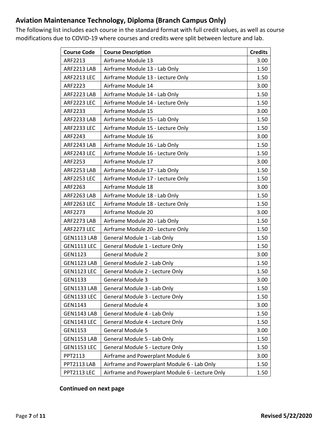# <span id="page-6-0"></span>**Aviation Maintenance Technology, Diploma (Branch Campus Only)**

The following list includes each course in the standard format with full credit values, as well as course modifications due to COVID-19 where courses and credits were split between lecture and lab.

| <b>Course Code</b> | <b>Course Description</b>                       | <b>Credits</b> |
|--------------------|-------------------------------------------------|----------------|
| ARF2213            | Airframe Module 13                              | 3.00           |
| ARF2213 LAB        | Airframe Module 13 - Lab Only                   | 1.50           |
| <b>ARF2213 LEC</b> | Airframe Module 13 - Lecture Only               | 1.50           |
| ARF2223            | Airframe Module 14                              | 3.00           |
| ARF2223 LAB        | Airframe Module 14 - Lab Only                   | 1.50           |
| ARF2223 LEC        | Airframe Module 14 - Lecture Only               | 1.50           |
| ARF2233            | Airframe Module 15                              | 3.00           |
| ARF2233 LAB        | Airframe Module 15 - Lab Only                   | 1.50           |
| ARF2233 LEC        | Airframe Module 15 - Lecture Only               | 1.50           |
| ARF2243            | Airframe Module 16                              | 3.00           |
| ARF2243 LAB        | Airframe Module 16 - Lab Only                   | 1.50           |
| ARF2243 LEC        | Airframe Module 16 - Lecture Only               | 1.50           |
| ARF2253            | Airframe Module 17                              | 3.00           |
| ARF2253 LAB        | Airframe Module 17 - Lab Only                   | 1.50           |
| <b>ARF2253 LEC</b> | Airframe Module 17 - Lecture Only               | 1.50           |
| ARF2263            | Airframe Module 18                              | 3.00           |
| ARF2263 LAB        | Airframe Module 18 - Lab Only                   | 1.50           |
| <b>ARF2263 LEC</b> | Airframe Module 18 - Lecture Only               | 1.50           |
| ARF2273            | Airframe Module 20                              | 3.00           |
| ARF2273 LAB        | Airframe Module 20 - Lab Only                   | 1.50           |
| ARF2273 LEC        | Airframe Module 20 - Lecture Only               | 1.50           |
| GEN1113 LAB        | General Module 1 - Lab Only                     | 1.50           |
| <b>GEN1113 LEC</b> | General Module 1 - Lecture Only                 | 1.50           |
| GEN1123            | <b>General Module 2</b>                         | 3.00           |
| GEN1123 LAB        | General Module 2 - Lab Only                     | 1.50           |
| <b>GEN1123 LEC</b> | General Module 2 - Lecture Only                 | 1.50           |
| GEN1133            | <b>General Module 3</b>                         | 3.00           |
| GEN1133 LAB        | General Module 3 - Lab Only                     | 1.50           |
| <b>GEN1133 LEC</b> | General Module 3 - Lecture Only                 | 1.50           |
| GEN1143            | General Module 4                                | 3.00           |
| GEN1143 LAB        | General Module 4 - Lab Only                     | 1.50           |
| <b>GEN1143 LEC</b> | General Module 4 - Lecture Only                 | 1.50           |
| GEN1153            | <b>General Module 5</b>                         | 3.00           |
| <b>GEN1153 LAB</b> | General Module 5 - Lab Only                     | 1.50           |
| <b>GEN1153 LEC</b> | General Module 5 - Lecture Only                 | 1.50           |
| PPT2113            | Airframe and Powerplant Module 6                | 3.00           |
| PPT2113 LAB        | Airframe and Powerplant Module 6 - Lab Only     | 1.50           |
| PPT2113 LEC        | Airframe and Powerplant Module 6 - Lecture Only | 1.50           |

#### **Continued on next page**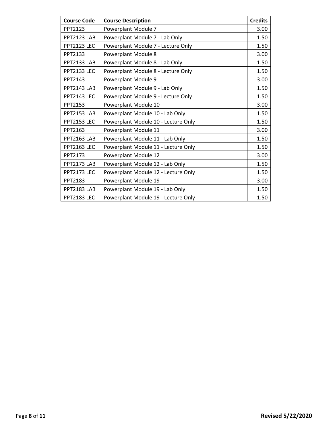| <b>Course Code</b> | <b>Course Description</b>           | <b>Credits</b> |
|--------------------|-------------------------------------|----------------|
| PPT2123            | Powerplant Module 7                 | 3.00           |
| PPT2123 LAB        | Powerplant Module 7 - Lab Only      | 1.50           |
| PPT2123 LEC        | Powerplant Module 7 - Lecture Only  | 1.50           |
| PPT2133            | Powerplant Module 8                 | 3.00           |
| PPT2133 LAB        | Powerplant Module 8 - Lab Only      | 1.50           |
| <b>PPT2133 LEC</b> | Powerplant Module 8 - Lecture Only  | 1.50           |
| PPT2143            | Powerplant Module 9                 | 3.00           |
| PPT2143 LAB        | Powerplant Module 9 - Lab Only      | 1.50           |
| PPT2143 LEC        | Powerplant Module 9 - Lecture Only  | 1.50           |
| PPT2153            | Powerplant Module 10                | 3.00           |
| PPT2153 LAB        | Powerplant Module 10 - Lab Only     | 1.50           |
| <b>PPT2153 LEC</b> | Powerplant Module 10 - Lecture Only | 1.50           |
| PPT2163            | Powerplant Module 11                | 3.00           |
| PPT2163 LAB        | Powerplant Module 11 - Lab Only     | 1.50           |
| <b>PPT2163 LEC</b> | Powerplant Module 11 - Lecture Only | 1.50           |
| PPT2173            | Powerplant Module 12                | 3.00           |
| PPT2173 LAB        | Powerplant Module 12 - Lab Only     | 1.50           |
| PPT2173 LEC        | Powerplant Module 12 - Lecture Only | 1.50           |
| PPT2183            | Powerplant Module 19                | 3.00           |
| PPT2183 LAB        | Powerplant Module 19 - Lab Only     | 1.50           |
| <b>PPT2183 LEC</b> | Powerplant Module 19 - Lecture Only | 1.50           |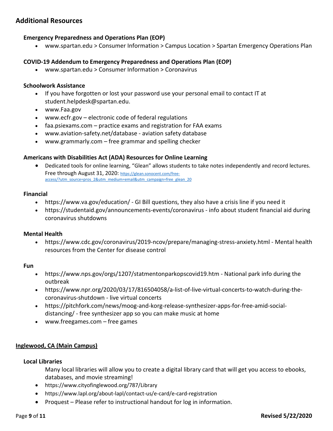# <span id="page-8-0"></span>**Additional Resources**

#### **Emergency Preparedness and Operations Plan (EOP)**

• www.spartan.edu > Consumer Information > Campus Location > Spartan Emergency Operations Plan

#### **COVID-19 Addendum to Emergency Preparedness and Operations Plan (EOP)**

• www.spartan.edu > Consumer Information > Coronavirus

#### **Schoolwork Assistance**

- If you have forgotten or lost your password use your personal email to contact IT at student.helpdesk@spartan.edu.
- www.Faa.gov
- www.ecfr.gov electronic code of federal regulations
- faa.psiexams.com practice exams and registration for FAA exams
- www.aviation-safety.net/database aviation safety database
- www.grammarly.com free grammar and spelling checker

#### **Americans with Disabilities Act (ADA) Resources for Online Learning**

• Dedicated tools for online learning, "Glean" allows students to take notes independently and record lectures. Free through August 31, 2020: [https://glean.sonocent.com/free](https://glean.sonocent.com/free-access/?utm_source=pros_2&utm_medium=email&utm_campaign=free_glean_20)[access/?utm\\_source=pros\\_2&utm\\_medium=email&utm\\_campaign=free\\_glean\\_20](https://glean.sonocent.com/free-access/?utm_source=pros_2&utm_medium=email&utm_campaign=free_glean_20)

#### **Financial**

- https://www.va.gov/education/ GI Bill questions, they also have a crisis line if you need it
- https://studentaid.gov/announcements-events/coronavirus info about student financial aid during coronavirus shutdowns

#### **Mental Health**

• https://www.cdc.gov/coronavirus/2019-ncov/prepare/managing-stress-anxiety.html - Mental health resources from the Center for disease control

#### **Fun**

- https://www.nps.gov/orgs/1207/statmentonparkopscovid19.htm National park info during the outbreak
- https://www.npr.org/2020/03/17/816504058/a-list-of-live-virtual-concerts-to-watch-during-thecoronavirus-shutdown - live virtual concerts
- https://pitchfork.com/news/moog-and-korg-release-synthesizer-apps-for-free-amid-socialdistancing/ - free synthesizer app so you can make music at home
- www.freegames.com free games

#### **Inglewood, CA (Main Campus)**

#### **Local Libraries**

Many local libraries will allow you to create a digital library card that will get you access to ebooks, databases, and movie streaming!

- https://www.cityofinglewood.org/787/Library
- https://www.lapl.org/about-lapl/contact-us/e-card/e-card-registration
- Proquest Please refer to instructional handout for log in information.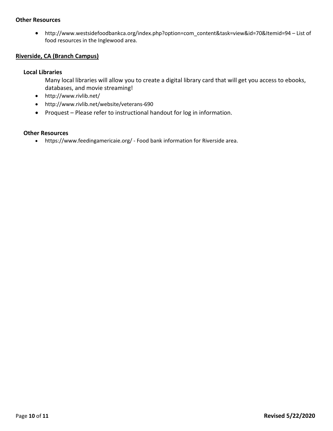#### **Other Resources**

• http://www.westsidefoodbankca.org/index.php?option=com\_content&task=view&id=70&Itemid=94 – List of food resources in the Inglewood area.

#### **Riverside, CA (Branch Campus)**

#### **Local Libraries**

- Many local libraries will allow you to create a digital library card that will get you access to ebooks, databases, and movie streaming!
- http://www.rivlib.net/
- http://www.rivlib.net/website/veterans-690
- Proquest Please refer to instructional handout for log in information.

#### **Other Resources**

• https://www.feedingamericaie.org/ - Food bank information for Riverside area.